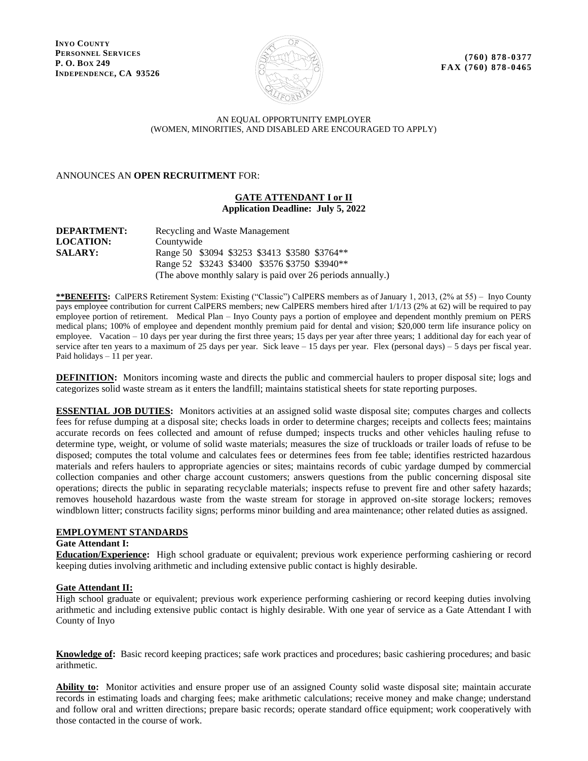**INYO COUNTY PERSONNEL SERVICES P. O. BOX 249 INDEPENDENCE, CA 93526**



**(760) 878-0377 FAX (760) 878 -0465**

## AN EQUAL OPPORTUNITY EMPLOYER (WOMEN, MINORITIES, AND DISABLED ARE ENCOURAGED TO APPLY)

ANNOUNCES AN **OPEN RECRUITMENT** FOR:

## **GATE ATTENDANT I or II Application Deadline: July 5, 2022**

| <b>DEPARTMENT:</b> | Recycling and Waste Management                               |
|--------------------|--------------------------------------------------------------|
| <b>LOCATION:</b>   | Countywide                                                   |
| <b>SALARY:</b>     | Range 50 \$3094 \$3253 \$3413 \$3580 \$3764**                |
|                    | Range 52 \$3243 \$3400 \$3576 \$3750 \$3940**                |
|                    | (The above monthly salary is paid over 26 periods annually.) |

**\*\*BENEFITS:** CalPERS Retirement System: Existing ("Classic") CalPERS members as of January 1, 2013, (2% at 55) – Inyo County pays employee contribution for current CalPERS members; new CalPERS members hired after 1/1/13 (2% at 62) will be required to pay employee portion of retirement. Medical Plan – Inyo County pays a portion of employee and dependent monthly premium on PERS medical plans; 100% of employee and dependent monthly premium paid for dental and vision; \$20,000 term life insurance policy on employee. Vacation – 10 days per year during the first three years; 15 days per year after three years; 1 additional day for each year of service after ten years to a maximum of 25 days per year. Sick leave – 15 days per year. Flex (personal days) – 5 days per fiscal year. Paid holidays – 11 per year.

**DEFINITION:** Monitors incoming waste and directs the public and commercial haulers to proper disposal site; logs and categorizes solid waste stream as it enters the landfill; maintains statistical sheets for state reporting purposes.

**ESSENTIAL JOB DUTIES:** Monitors activities at an assigned solid waste disposal site; computes charges and collects fees for refuse dumping at a disposal site; checks loads in order to determine charges; receipts and collects fees; maintains accurate records on fees collected and amount of refuse dumped; inspects trucks and other vehicles hauling refuse to determine type, weight, or volume of solid waste materials; measures the size of truckloads or trailer loads of refuse to be disposed; computes the total volume and calculates fees or determines fees from fee table; identifies restricted hazardous materials and refers haulers to appropriate agencies or sites; maintains records of cubic yardage dumped by commercial collection companies and other charge account customers; answers questions from the public concerning disposal site operations; directs the public in separating recyclable materials; inspects refuse to prevent fire and other safety hazards; removes household hazardous waste from the waste stream for storage in approved on-site storage lockers; removes windblown litter; constructs facility signs; performs minor building and area maintenance; other related duties as assigned.

#### **EMPLOYMENT STANDARDS**

#### **Gate Attendant I:**

**Education/Experience:** High school graduate or equivalent; previous work experience performing cashiering or record keeping duties involving arithmetic and including extensive public contact is highly desirable.

# **Gate Attendant II:**

High school graduate or equivalent; previous work experience performing cashiering or record keeping duties involving arithmetic and including extensive public contact is highly desirable. With one year of service as a Gate Attendant I with County of Inyo

**Knowledge of:** Basic record keeping practices; safe work practices and procedures; basic cashiering procedures; and basic arithmetic.

**Ability to:** Monitor activities and ensure proper use of an assigned County solid waste disposal site; maintain accurate records in estimating loads and charging fees; make arithmetic calculations; receive money and make change; understand and follow oral and written directions; prepare basic records; operate standard office equipment; work cooperatively with those contacted in the course of work.